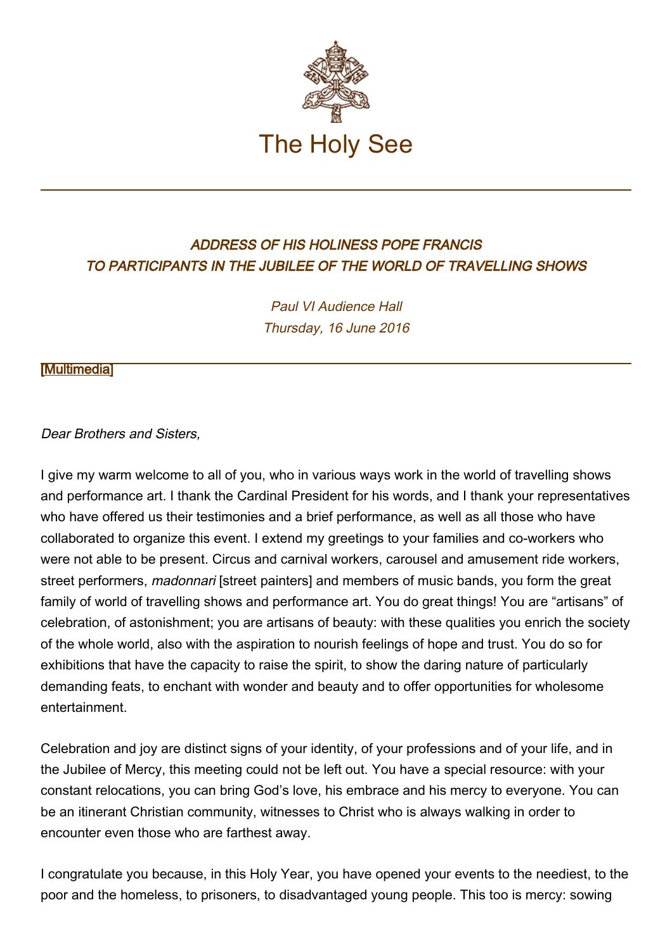

## ADDRESS OF HIS HOLINESS POPE FRANCIS TO PARTICIPANTS IN THE JUBILEE OF THE WORLD OF TRAVELLING SHOWS

Paul VI Audience Hall Thursday, 16 June 2016

## [\[Multimedia](http://w2.vatican.va/content/francesco/en/events/event.dir.html/content/vaticanevents/en/2016/6/16/giubileospettacoloviaggiante.html)]

## Dear Brothers and Sisters,

I give my warm welcome to all of you, who in various ways work in the world of travelling shows and performance art. I thank the Cardinal President for his words, and I thank your representatives who have offered us their testimonies and a brief performance, as well as all those who have collaborated to organize this event. I extend my greetings to your families and co-workers who were not able to be present. Circus and carnival workers, carousel and amusement ride workers, street performers, *madonnari* [street painters] and members of music bands, you form the great family of world of travelling shows and performance art. You do great things! You are "artisans" of celebration, of astonishment; you are artisans of beauty: with these qualities you enrich the society of the whole world, also with the aspiration to nourish feelings of hope and trust. You do so for exhibitions that have the capacity to raise the spirit, to show the daring nature of particularly demanding feats, to enchant with wonder and beauty and to offer opportunities for wholesome entertainment.

Celebration and joy are distinct signs of your identity, of your professions and of your life, and in the Jubilee of Mercy, this meeting could not be left out. You have a special resource: with your constant relocations, you can bring God's love, his embrace and his mercy to everyone. You can be an itinerant Christian community, witnesses to Christ who is always walking in order to encounter even those who are farthest away.

I congratulate you because, in this Holy Year, you have opened your events to the neediest, to the poor and the homeless, to prisoners, to disadvantaged young people. This too is mercy: sowing